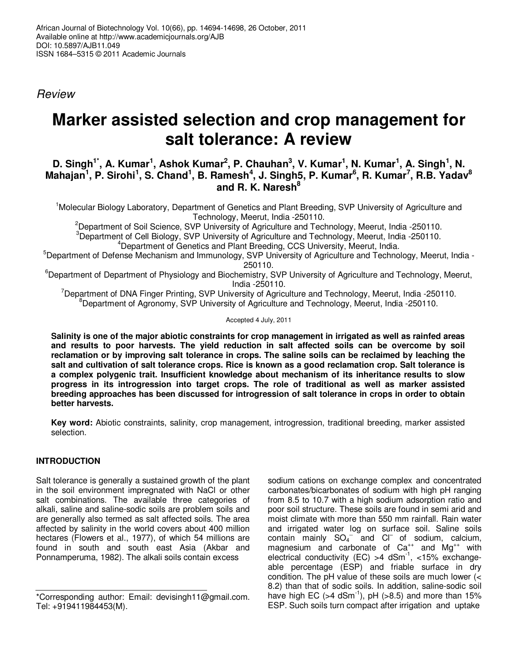Review

# **Marker assisted selection and crop management for salt tolerance: A review**

## **D. Singh<sup>1\*</sup>, A. Kumar<sup>1</sup>, Ashok Kumar<sup>2</sup>, P. Chauhan<sup>3</sup>, V. Kumar<sup>1</sup>, N. Kumar<sup>1</sup>, A. Singh<sup>1</sup>, N. Mahajan<sup>1</sup> , P. Sirohi<sup>1</sup> , S. Chand<sup>1</sup> , B. Ramesh<sup>4</sup> , J. Singh5, P. Kumar<sup>6</sup> , R. Kumar<sup>7</sup> , R.B. Yadav<sup>8</sup> and R. K. Naresh<sup>8</sup>**

<sup>1</sup>Molecular Biology Laboratory, Department of Genetics and Plant Breeding, SVP University of Agriculture and Technology, Meerut, India -250110.

<sup>2</sup>Department of Soil Science, SVP University of Agriculture and Technology, Meerut, India -250110.

<sup>3</sup>Department of Cell Biology, SVP University of Agriculture and Technology, Meerut, India -250110. <sup>4</sup>Department of Genetics and Plant Breeding, CCS University, Meerut, India.

<sup>5</sup>Department of Defense Mechanism and Immunology, SVP University of Agriculture and Technology, Meerut, India -250110.

<sup>6</sup>Department of Department of Physiology and Biochemistry, SVP University of Agriculture and Technology, Meerut, India -250110.

<sup>7</sup>Department of DNA Finger Printing, SVP University of Agriculture and Technology, Meerut, India -250110.  $8$ Department of Agronomy, SVP University of Agriculture and Technology, Meerut, India -250110.

### Accepted 4 July, 2011

**Salinity is one of the major abiotic constraints for crop management in irrigated as well as rainfed areas and results to poor harvests. The yield reduction in salt affected soils can be overcome by soil reclamation or by improving salt tolerance in crops. The saline soils can be reclaimed by leaching the salt and cultivation of salt tolerance crops. Rice is known as a good reclamation crop. Salt tolerance is a complex polygenic trait. Insufficient knowledge about mechanism of its inheritance results to slow progress in its introgression into target crops. The role of traditional as well as marker assisted breeding approaches has been discussed for introgression of salt tolerance in crops in order to obtain better harvests.** 

**Key word:** Abiotic constraints, salinity, crop management, introgression, traditional breeding, marker assisted selection.

## **INTRODUCTION**

Salt tolerance is generally a sustained growth of the plant in the soil environment impregnated with NaCl or other salt combinations. The available three categories of alkali, saline and saline-sodic soils are problem soils and are generally also termed as salt affected soils. The area affected by salinity in the world covers about 400 million hectares (Flowers et al., 1977), of which 54 millions are found in south and south east Asia (Akbar and Ponnamperuma, 1982). The alkali soils contain excess

sodium cations on exchange complex and concentrated carbonates/bicarbonates of sodium with high pH ranging from 8.5 to 10.7 with a high sodium adsorption ratio and poor soil structure. These soils are found in semi arid and moist climate with more than 550 mm rainfall. Rain water and irrigated water log on surface soil. Saline soils contain mainly  $SO_4^-$  and  $Cl^-$  of sodium, calcium, magnesium and carbonate of  $Ca^{++}$  and  $Mg^{++}$  with electrical conductivity (EC) >4 dSm<sup>-1</sup>, <15% exchangeable percentage (ESP) and friable surface in dry condition. The pH value of these soils are much lower (< 8.2) than that of sodic soils. In addition, saline-sodic soil have high EC ( $>4$  dSm<sup>-1</sup>), pH ( $>8.5$ ) and more than 15% ESP. Such soils turn compact after irrigation and uptake

<sup>\*</sup>Corresponding author: Email: devisingh11@gmail.com. Tel: +919411984453(M).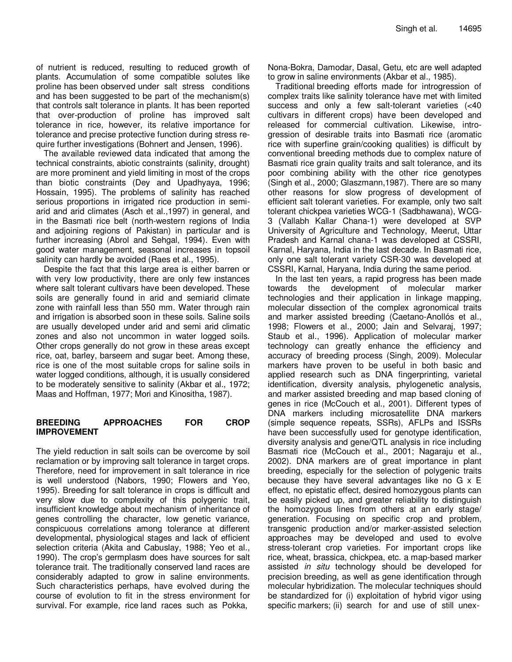of nutrient is reduced, resulting to reduced growth of plants. Accumulation of some compatible solutes like proline has been observed under salt stress conditions and has been suggested to be part of the mechanism(s) that controls salt tolerance in plants. It has been reported that over-production of proline has improved salt tolerance in rice, however, its relative importance for tolerance and precise protective function during stress require further investigations (Bohnert and Jensen, 1996).

The available reviewed data indicated that among the technical constraints, abiotic constraints (salinity, drought) are more prominent and yield limiting in most of the crops than biotic constraints (Dey and Upadhyaya, 1996; Hossain, 1995). The problems of salinity has reached serious proportions in irrigated rice production in semiarid and arid climates (Asch et al.,1997) in general, and in the Basmati rice belt (north-western regions of India and adjoining regions of Pakistan) in particular and is further increasing (Abrol and Sehgal, 1994). Even with good water management, seasonal increases in topsoil salinity can hardly be avoided (Raes et al., 1995).

Despite the fact that this large area is either barren or with very low productivity, there are only few instances where salt tolerant cultivars have been developed. These soils are generally found in arid and semiarid climate zone with rainfall less than 550 mm. Water through rain and irrigation is absorbed soon in these soils. Saline soils are usually developed under arid and semi arid climatic zones and also not uncommon in water logged soils. Other crops generally do not grow in these areas except rice, oat, barley, barseem and sugar beet. Among these, rice is one of the most suitable crops for saline soils in water logged conditions, although, it is usually considered to be moderately sensitive to salinity (Akbar et al., 1972; Maas and Hoffman, 1977; Mori and Kinositha, 1987).

## **BREEDING APPROACHES FOR CROP IMPROVEMENT**

The yield reduction in salt soils can be overcome by soil reclamation or by improving salt tolerance in target crops. Therefore, need for improvement in salt tolerance in rice is well understood (Nabors, 1990; Flowers and Yeo, 1995). Breeding for salt tolerance in crops is difficult and very slow due to complexity of this polygenic trait, insufficient knowledge about mechanism of inheritance of genes controlling the character, low genetic variance, conspicuous correlations among tolerance at different developmental, physiological stages and lack of efficient selection criteria (Akita and Cabuslay, 1988; Yeo et al., 1990). The crop's germplasm does have sources for salt tolerance trait. The traditionally conserved land races are considerably adapted to grow in saline environments. Such characteristics perhaps, have evolved during the course of evolution to fit in the stress environment for survival. For example, rice land races such as Pokka,

Nona-Bokra, Damodar, Dasal, Getu, etc are well adapted to grow in saline environments (Akbar et al., 1985).

Traditional breeding efforts made for introgression of complex traits like salinity tolerance have met with limited success and only a few salt-tolerant varieties (<40 cultivars in different crops) have been developed and released for commercial cultivation. Likewise, introgression of desirable traits into Basmati rice (aromatic rice with superfine grain/cooking qualities) is difficult by conventional breeding methods due to complex nature of Basmati rice grain quality traits and salt tolerance, and its poor combining ability with the other rice genotypes (Singh et al., 2000; Glaszmann,1987). There are so many other reasons for slow progress of development of efficient salt tolerant varieties. For example, only two salt tolerant chickpea varieties WCG-1 (Sadbhawana), WCG-3 (Vallabh Kallar Chana-1) were developed at SVP University of Agriculture and Technology, Meerut, Uttar Pradesh and Karnal chana-1 was developed at CSSRI, Karnal, Haryana, India in the last decade. In Basmati rice, only one salt tolerant variety CSR-30 was developed at CSSRI, Karnal, Haryana, India during the same period.

In the last ten years, a rapid progress has been made towards the development of molecular marker technologies and their application in linkage mapping, molecular dissection of the complex agronomical traits and marker assisted breeding (Caetano-Anollós et al., 1998; Flowers et al., 2000; Jain and Selvaraj, 1997; Staub et al., 1996). Application of molecular marker technology can greatly enhance the efficiency and accuracy of breeding process (Singh, 2009). Molecular markers have proven to be useful in both basic and applied research such as DNA fingerprinting, varietal identification, diversity analysis, phylogenetic analysis, and marker assisted breeding and map based cloning of genes in rice (McCouch et al., 2001). Different types of DNA markers including microsatellite DNA markers (simple sequence repeats, SSRs), AFLPs and ISSRs have been successfully used for genotype identification, diversity analysis and gene/QTL analysis in rice including Basmati rice (McCouch et al., 2001; Nagaraju et al., 2002). DNA markers are of great importance in plant breeding, especially for the selection of polygenic traits because they have several advantages like no G x E effect, no epistatic effect, desired homozygous plants can be easily picked up, and greater reliability to distinguish the homozygous lines from others at an early stage/ generation. Focusing on specific crop and problem, transgenic production and/or marker-assisted selection approaches may be developed and used to evolve stress-tolerant crop varieties. For important crops like rice, wheat, brassica, chickpea, etc. a map-based marker assisted *in situ* technology should be developed for precision breeding, as well as gene identification through molecular hybridization. The molecular techniques should be standardized for (i) exploitation of hybrid vigor using specific markers; (ii) search for and use of still unex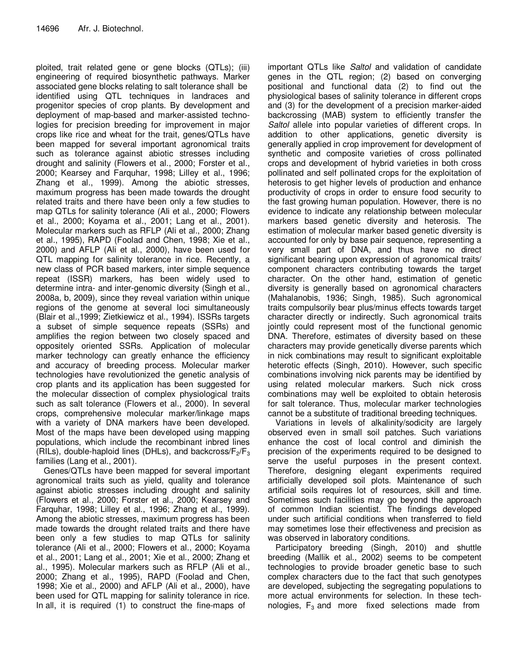ploited, trait related gene or gene blocks (QTLs); (iii) engineering of required biosynthetic pathways. Marker associated gene blocks relating to salt tolerance shall be identified using QTL techniques in landraces and progenitor species of crop plants. By development and deployment of map-based and marker-assisted technologies for precision breeding for improvement in major crops like rice and wheat for the trait, genes/QTLs have been mapped for several important agronomical traits such as tolerance against abiotic stresses including drought and salinity (Flowers et al., 2000; Forster et al., 2000; Kearsey and Farquhar, 1998; Lilley et al., 1996; Zhang et al., 1999). Among the abiotic stresses, maximum progress has been made towards the drought related traits and there have been only a few studies to map QTLs for salinity tolerance (Ali et al., 2000; Flowers et al., 2000; Koyama et al., 2001; Lang et al., 2001). Molecular markers such as RFLP (Ali et al., 2000; Zhang et al., 1995), RAPD (Foolad and Chen, 1998; Xie et al., 2000) and AFLP (Ali et al., 2000), have been used for QTL mapping for salinity tolerance in rice. Recently, a new class of PCR based markers, inter simple sequence repeat (ISSR) markers, has been widely used to determine intra- and inter-genomic diversity (Singh et al., 2008a, b, 2009), since they reveal variation within unique regions of the genome at several loci simultaneously (Blair et al.,1999; Zietkiewicz et al., 1994). ISSRs targets a subset of simple sequence repeats (SSRs) and amplifies the region between two closely spaced and oppositely oriented SSRs. Application of molecular marker technology can greatly enhance the efficiency and accuracy of breeding process. Molecular marker technologies have revolutionized the genetic analysis of crop plants and its application has been suggested for the molecular dissection of complex physiological traits such as salt tolerance (Flowers et al., 2000). In several crops, comprehensive molecular marker/linkage maps with a variety of DNA markers have been developed. Most of the maps have been developed using mapping populations, which include the recombinant inbred lines (RILs), double-haploid lines (DHLs), and backcross/ $F_2/F_3$ families (Lang et al., 2001).

Genes/QTLs have been mapped for several important agronomical traits such as yield, quality and tolerance against abiotic stresses including drought and salinity (Flowers et al., 2000; Forster et al., 2000; Kearsey and Farquhar, 1998; Lilley et al., 1996; Zhang et al., 1999). Among the abiotic stresses, maximum progress has been made towards the drought related traits and there have been only a few studies to map QTLs for salinity tolerance (Ali et al., 2000; Flowers et al., 2000; Koyama et al., 2001; Lang et al., 2001; Xie et al., 2000; Zhang et al., 1995). Molecular markers such as RFLP (Ali et al., 2000; Zhang et al., 1995), RAPD (Foolad and Chen, 1998; Xie et al., 2000) and AFLP (Ali et al., 2000), have been used for QTL mapping for salinity tolerance in rice. In all, it is required (1) to construct the fine-maps of

important QTLs like Saltol and validation of candidate genes in the QTL region; (2) based on converging positional and functional data (2) to find out the physiological bases of salinity tolerance in different crops and (3) for the development of a precision marker-aided backcrossing (MAB) system to efficiently transfer the Saltol allele into popular varieties of different crops. In addition to other applications, genetic diversity is generally applied in crop improvement for development of synthetic and composite varieties of cross pollinated crops and development of hybrid varieties in both cross pollinated and self pollinated crops for the exploitation of heterosis to get higher levels of production and enhance productivity of crops in order to ensure food security to the fast growing human population. However, there is no evidence to indicate any relationship between molecular markers based genetic diversity and heterosis. The estimation of molecular marker based genetic diversity is accounted for only by base pair sequence, representing a very small part of DNA, and thus have no direct significant bearing upon expression of agronomical traits/ component characters contributing towards the target character. On the other hand, estimation of genetic diversity is generally based on agronomical characters (Mahalanobis, 1936; Singh, 1985). Such agronomical traits compulsorily bear plus/minus effects towards target character directly or indirectly. Such agronomical traits jointly could represent most of the functional genomic DNA. Therefore, estimates of diversity based on these characters may provide genetically diverse parents which in nick combinations may result to significant exploitable heterotic effects (Singh, 2010). However, such specific combinations involving nick parents may be identified by using related molecular markers. Such nick cross combinations may well be exploited to obtain heterosis for salt tolerance. Thus, molecular marker technologies cannot be a substitute of traditional breeding techniques.

Variations in levels of alkalinity/sodicity are largely observed even in small soil patches. Such variations enhance the cost of local control and diminish the precision of the experiments required to be designed to serve the useful purposes in the present context. Therefore, designing elegant experiments required artificially developed soil plots. Maintenance of such artificial soils requires lot of resources, skill and time. Sometimes such facilities may go beyond the approach of common Indian scientist. The findings developed under such artificial conditions when transferred to field may sometimes lose their effectiveness and precision as was observed in laboratory conditions.

Participatory breeding (Singh, 2010) and shuttle breeding (Mallik et al., 2002) seems to be competent technologies to provide broader genetic base to such complex characters due to the fact that such genotypes are developed, subjecting the segregating populations to more actual environments for selection. In these technologies,  $F_3$  and more fixed selections made from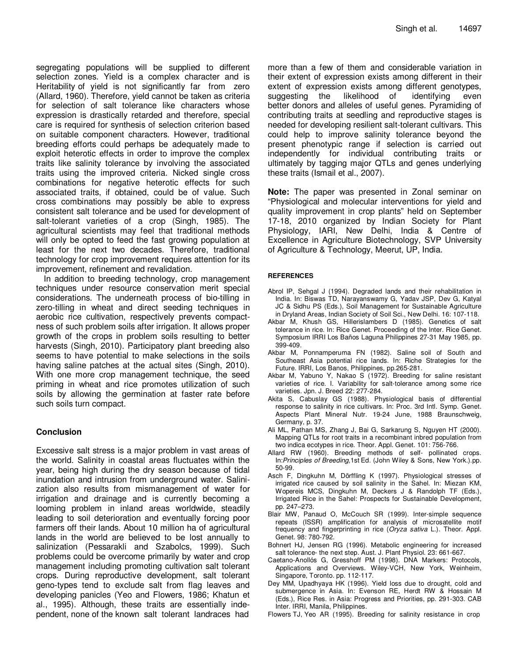segregating populations will be supplied to different selection zones. Yield is a complex character and is Heritability of yield is not significantly far from zero (Allard, 1960). Therefore, yield cannot be taken as criteria for selection of salt tolerance like characters whose expression is drastically retarded and therefore, special care is required for synthesis of selection criterion based on suitable component characters. However, traditional breeding efforts could perhaps be adequately made to exploit heterotic effects in order to improve the complex traits like salinity tolerance by involving the associated traits using the improved criteria. Nicked single cross combinations for negative heterotic effects for such associated traits, if obtained, could be of value. Such cross combinations may possibly be able to express consistent salt tolerance and be used for development of salt-tolerant varieties of a crop (Singh, 1985). The agricultural scientists may feel that traditional methods will only be opted to feed the fast growing population at least for the next two decades. Therefore, traditional technology for crop improvement requires attention for its improvement, refinement and revalidation.

In addition to breeding technology, crop management techniques under resource conservation merit special considerations. The underneath process of bio-tilling in zero-tilling in wheat and direct seeding techniques in aerobic rice cultivation, respectively prevents compactness of such problem soils after irrigation. It allows proper growth of the crops in problem soils resulting to better harvests (Singh, 2010). Participatory plant breeding also seems to have potential to make selections in the soils having saline patches at the actual sites (Singh, 2010). With one more crop management technique, the seed priming in wheat and rice promotes utilization of such soils by allowing the germination at faster rate before such soils turn compact.

## **Conclusion**

Excessive salt stress is a major problem in vast areas of the world. Salinity in coastal areas fluctuates within the year, being high during the dry season because of tidal inundation and intrusion from underground water. Salinization also results from mismanagement of water for irrigation and drainage and is currently becoming a looming problem in inland areas worldwide, steadily leading to soil deterioration and eventually forcing poor farmers off their lands. About 10 million ha of agricultural lands in the world are believed to be lost annually to salinization (Pessarakli and Szabolcs, 1999). Such problems could be overcome primarily by water and crop management including promoting cultivation salt tolerant crops. During reproductive development, salt tolerant geno-types tend to exclude salt from flag leaves and developing panicles (Yeo and Flowers, 1986; Khatun et al., 1995). Although, these traits are essentially independent, none of the known salt tolerant landraces had more than a few of them and considerable variation in their extent of expression exists among different in their extent of expression exists among different genotypes, suggesting the likelihood of identifying even better donors and alleles of useful genes. Pyramiding of contributing traits at seedling and reproductive stages is needed for developing resilient salt-tolerant cultivars. This could help to improve salinity tolerance beyond the present phenotypic range if selection is carried out independently for individual contributing traits or ultimately by tagging major QTLs and genes underlying these traits (Ismail et al., 2007).

**Note:** The paper was presented in Zonal seminar on "Physiological and molecular interventions for yield and quality improvement in crop plants" held on September 17-18, 2010 organized by Indian Society for Plant Physiology, IARI, New Delhi, India & Centre of Excellence in Agriculture Biotechnology, SVP University of Agriculture & Technology, Meerut, UP, India.

### **REFERENCES**

- Abrol IP, Sehgal J (1994). Degraded lands and their rehabilitation in India. In: Biswas TD, Narayanswamy G, Yadav JSP, Dev G, Katyal JC & Sidhu PS (Eds.), Soil Management for Sustainable Agriculture in Dryland Areas, Indian Society of Soil Sci., New Delhi. 16: 107-118.
- Akbar M, Khush GS, Hillerislambers D (1985). Genetics of salt tolerance in rice. In: Rice Genet. Proceeding of the Inter. Rice Genet. Symposium IRRI Los Baños Laguna Philippines 27-31 May 1985, pp. 399-409.
- Akbar M, Ponnamperuma FN (1982). Saline soil of South and Southeast Asia potential rice lands. In: Riche Strategies for the Future. IRRI, Los Banos, Philippines, pp.265-281.
- Akbar M, Yabuno Y, Nakao S (1972). Breeding for saline resistant varieties of rice. I. Variability for salt-tolerance among some rice varieties. Jpn. J. Breed 22: 277-284.
- Akita S, Cabuslay GS (1988). Physiological basis of differential response to salinity in rice cultivars. In: Proc. 3rd Intl. Symp. Genet. Aspects Plant Mineral Nutr. 19-24 June, 1988 Braunschweig, Germany, p. 37.
- Ali ML, Pathan MS, Zhang J, Bai G, Sarkarung S, Nguyen HT (2000). Mapping QTLs for root traits in a recombinant inbred population from two indica ecotypes in rice. Theor. Appl. Genet. 101: 756-766.
- Allard RW (1960). Breeding methods of self- pollinated crops. In:Principles of Breeding,1st Ed. (John Wiley & Sons, New York.).pp. 50-99.
- Asch F, Dingkuhn M, Dörffling K (1997). Physiological stresses of irrigated rice caused by soil salinity in the Sahel. In: Miezan KM, Wopereis MCS, Dingkuhn M, Deckers J & Randolph TF (Eds.), Irrigated Rice in the Sahel: Prospects for Sustainable Development, pp. 247–273.
- Blair MW, Panaud O, McCouch SR (1999). Inter-simple sequence repeats (ISSR) amplification for analysis of microsatellite motif frequency and fingerprinting in rice (Oryza sativa L.). Theor. Appl. Genet. 98: 780-792.
- Bohnert HJ, Jensen RG (1996). Metabolic engineering for increased salt tolerance- the next step. Aust. J. Plant Physiol. 23: 661-667.
- Caetano-Anollós G, Gresshoff PM (1998). DNA Markers: Protocols, Applications and Overviews. Wiley-VCH, New York, Weinheim, Singapore, Toronto. pp. 112-117.
- Dey MM, Upadhyaya HK (1996). Yield loss due to drought, cold and submergence in Asia. In: Evenson RE, Herdt RW & Hossain M (Eds.), Rice Res. in Asia: Progress and Priorities, pp. 291-303. CAB Inter. IRRI, Manila, Philippines.
- Flowers TJ, Yeo AR (1995). Breeding for salinity resistance in crop